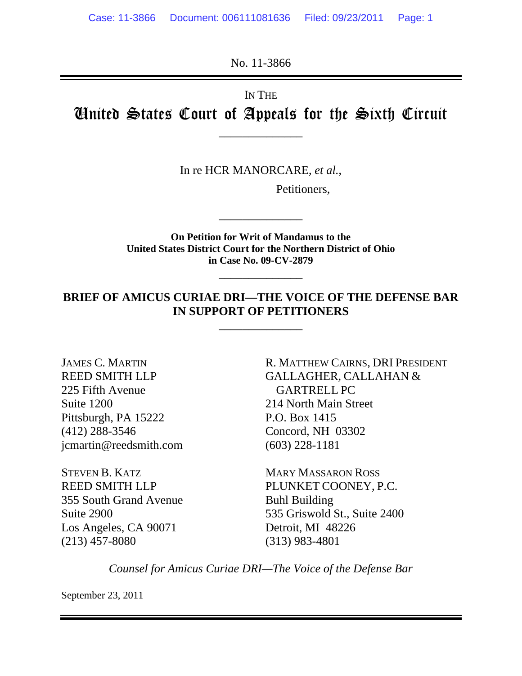No. 11-3866

IN THE

United States Court of Appeals for the Sixth Circuit

\_\_\_\_\_\_\_\_\_\_\_\_\_\_

In re HCR MANORCARE, *et al.*,

Petitioners,

**On Petition for Writ of Mandamus to the United States District Court for the Northern District of Ohio in Case No. 09-CV-2879**

\_\_\_\_\_\_\_\_\_\_\_\_\_\_

\_\_\_\_\_\_\_\_\_\_\_\_\_\_

### **BRIEF OF AMICUS CURIAE DRI—THE VOICE OF THE DEFENSE BAR IN SUPPORT OF PETITIONERS**

\_\_\_\_\_\_\_\_\_\_\_\_\_\_

JAMES C. MARTIN REED SMITH LLP 225 Fifth Avenue Suite 1200 Pittsburgh, PA 15222 (412) 288-3546 jcmartin@reedsmith.com

STEVEN B. KATZ REED SMITH LLP 355 South Grand Avenue Suite 2900 Los Angeles, CA 90071 (213) 457-8080

R. MATTHEW CAIRNS, DRI PRESIDENT GALLAGHER, CALLAHAN & GARTRELL PC 214 North Main Street P.O. Box 1415 Concord, NH 03302 (603) 228-1181

MARY MASSARON ROSS PLUNKET COONEY, P.C. Buhl Building 535 Griswold St., Suite 2400 Detroit, MI 48226 (313) 983-4801

*Counsel for Amicus Curiae DRI—The Voice of the Defense Bar* 

September 23, 2011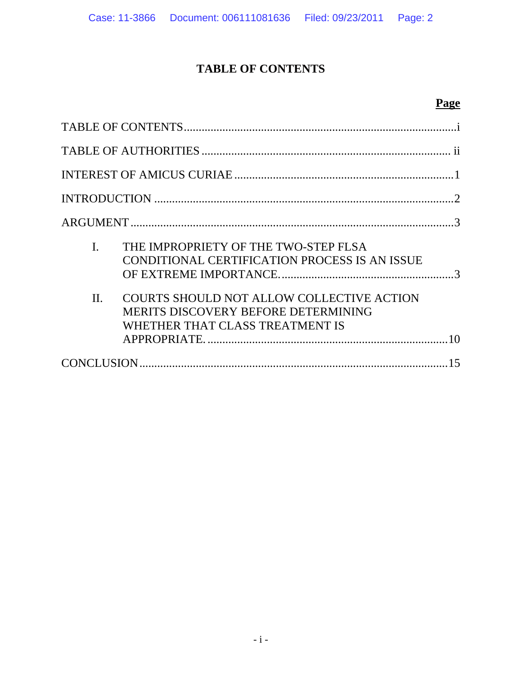# **TABLE OF CONTENTS**

# **Page**

| I.      | THE IMPROPRIETY OF THE TWO-STEP FLSA<br>CONDITIONAL CERTIFICATION PROCESS IS AN ISSUE                                      |    |
|---------|----------------------------------------------------------------------------------------------------------------------------|----|
| $\Pi$ . | COURTS SHOULD NOT ALLOW COLLECTIVE ACTION<br><b>MERITS DISCOVERY BEFORE DETERMINING</b><br>WHETHER THAT CLASS TREATMENT IS |    |
|         |                                                                                                                            | 15 |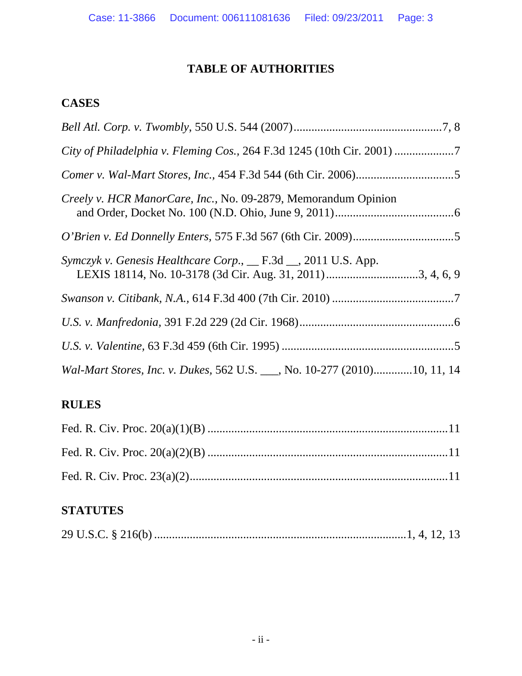# **TABLE OF AUTHORITIES**

## **CASES**

| City of Philadelphia v. Fleming Cos., 264 F.3d 1245 (10th Cir. 2001)      |
|---------------------------------------------------------------------------|
|                                                                           |
| Creely v. HCR ManorCare, Inc., No. 09-2879, Memorandum Opinion            |
|                                                                           |
| Symczyk v. Genesis Healthcare Corp., __ F.3d __, 2011 U.S. App.           |
|                                                                           |
|                                                                           |
|                                                                           |
| Wal-Mart Stores, Inc. v. Dukes, 562 U.S. ___, No. 10-277 (2010)10, 11, 14 |

## **RULES**

## **STATUTES**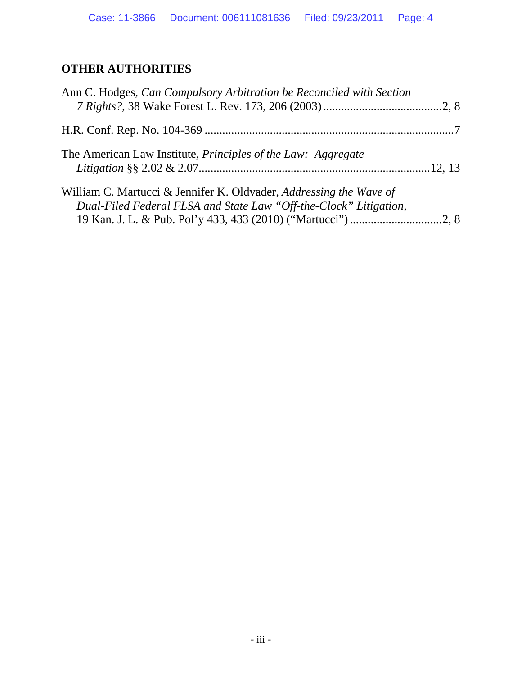# **OTHER AUTHORITIES**

| Ann C. Hodges, Can Compulsory Arbitration be Reconciled with Section                                                                    |  |
|-----------------------------------------------------------------------------------------------------------------------------------------|--|
|                                                                                                                                         |  |
| The American Law Institute, <i>Principles of the Law: Aggregate</i>                                                                     |  |
| William C. Martucci & Jennifer K. Oldvader, Addressing the Wave of<br>Dual-Filed Federal FLSA and State Law "Off-the-Clock" Litigation, |  |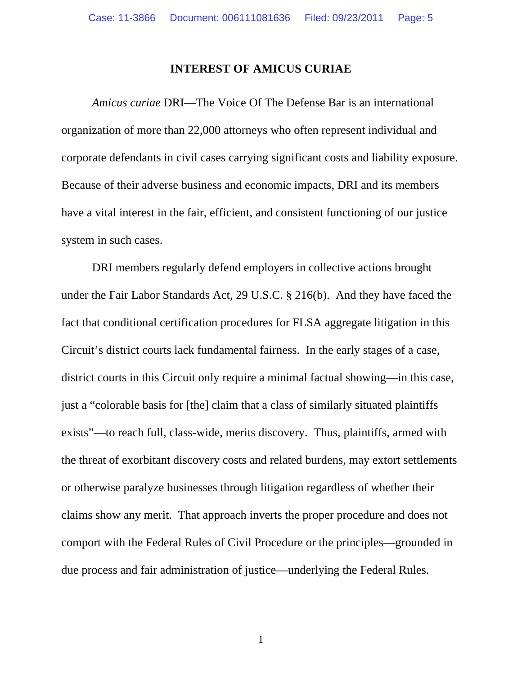#### **INTEREST OF AMICUS CURIAE**

*Amicus curiae* DRI—The Voice Of The Defense Bar is an international organization of more than 22,000 attorneys who often represent individual and corporate defendants in civil cases carrying significant costs and liability exposure. Because of their adverse business and economic impacts, DRI and its members have a vital interest in the fair, efficient, and consistent functioning of our justice system in such cases.

DRI members regularly defend employers in collective actions brought under the Fair Labor Standards Act, 29 U.S.C. § 216(b). And they have faced the fact that conditional certification procedures for FLSA aggregate litigation in this Circuit's district courts lack fundamental fairness. In the early stages of a case, district courts in this Circuit only require a minimal factual showing—in this case, just a "colorable basis for [the] claim that a class of similarly situated plaintiffs exists"—to reach full, class-wide, merits discovery. Thus, plaintiffs, armed with the threat of exorbitant discovery costs and related burdens, may extort settlements or otherwise paralyze businesses through litigation regardless of whether their claims show any merit. That approach inverts the proper procedure and does not comport with the Federal Rules of Civil Procedure or the principles—grounded in due process and fair administration of justice—underlying the Federal Rules.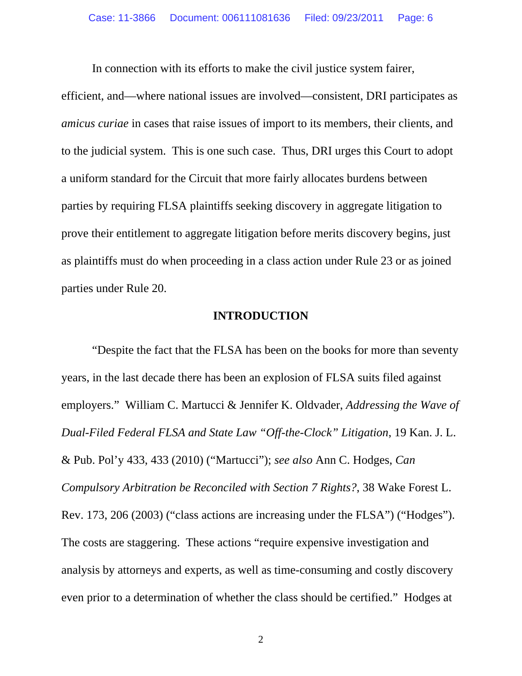In connection with its efforts to make the civil justice system fairer,

efficient, and—where national issues are involved—consistent, DRI participates as *amicus curiae* in cases that raise issues of import to its members, their clients, and to the judicial system. This is one such case. Thus, DRI urges this Court to adopt a uniform standard for the Circuit that more fairly allocates burdens between parties by requiring FLSA plaintiffs seeking discovery in aggregate litigation to prove their entitlement to aggregate litigation before merits discovery begins, just as plaintiffs must do when proceeding in a class action under Rule 23 or as joined parties under Rule 20.

#### **INTRODUCTION**

"Despite the fact that the FLSA has been on the books for more than seventy years, in the last decade there has been an explosion of FLSA suits filed against employers." William C. Martucci & Jennifer K. Oldvader, *Addressing the Wave of Dual-Filed Federal FLSA and State Law "Off-the-Clock" Litigation*, 19 Kan. J. L. & Pub. Pol'y 433, 433 (2010) ("Martucci"); *see also* Ann C. Hodges, *Can Compulsory Arbitration be Reconciled with Section 7 Rights?*, 38 Wake Forest L. Rev. 173, 206 (2003) ("class actions are increasing under the FLSA") ("Hodges"). The costs are staggering. These actions "require expensive investigation and analysis by attorneys and experts, as well as time-consuming and costly discovery even prior to a determination of whether the class should be certified." Hodges at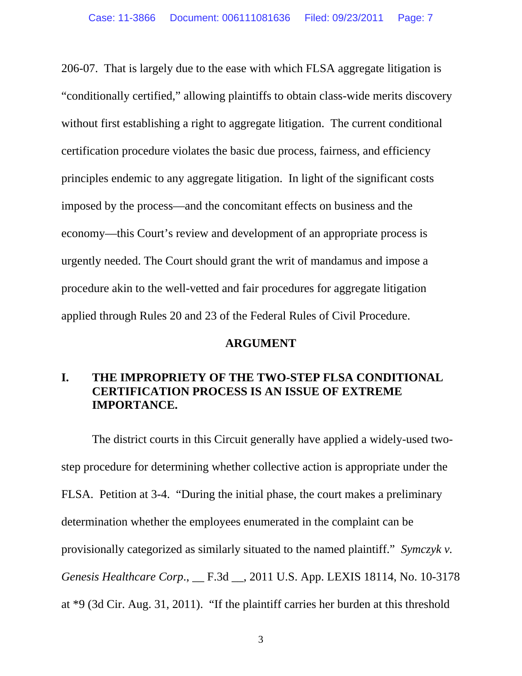206-07. That is largely due to the ease with which FLSA aggregate litigation is "conditionally certified," allowing plaintiffs to obtain class-wide merits discovery without first establishing a right to aggregate litigation. The current conditional certification procedure violates the basic due process, fairness, and efficiency principles endemic to any aggregate litigation. In light of the significant costs imposed by the process—and the concomitant effects on business and the economy—this Court's review and development of an appropriate process is urgently needed. The Court should grant the writ of mandamus and impose a procedure akin to the well-vetted and fair procedures for aggregate litigation applied through Rules 20 and 23 of the Federal Rules of Civil Procedure.

#### **ARGUMENT**

### **I. THE IMPROPRIETY OF THE TWO-STEP FLSA CONDITIONAL CERTIFICATION PROCESS IS AN ISSUE OF EXTREME IMPORTANCE.**

The district courts in this Circuit generally have applied a widely-used twostep procedure for determining whether collective action is appropriate under the FLSA. Petition at 3-4. "During the initial phase, the court makes a preliminary determination whether the employees enumerated in the complaint can be provisionally categorized as similarly situated to the named plaintiff." *Symczyk v. Genesis Healthcare Corp*., \_\_ F.3d \_\_, 2011 U.S. App. LEXIS 18114, No. 10-3178 at \*9 (3d Cir. Aug. 31, 2011). "If the plaintiff carries her burden at this threshold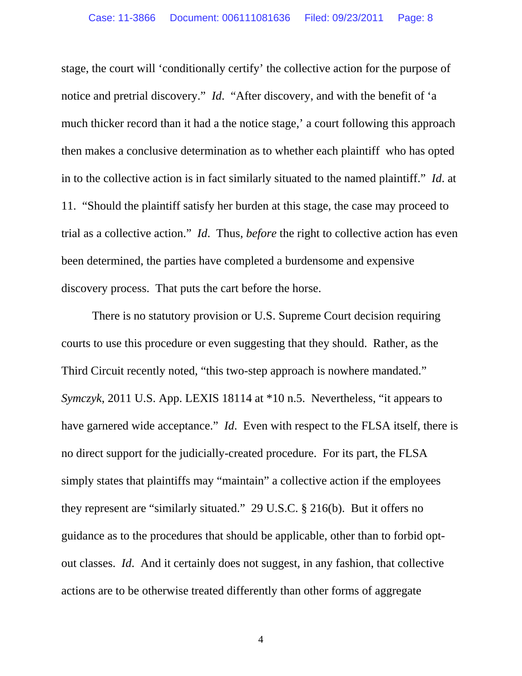stage, the court will 'conditionally certify' the collective action for the purpose of notice and pretrial discovery." *Id*. "After discovery, and with the benefit of 'a much thicker record than it had a the notice stage,' a court following this approach then makes a conclusive determination as to whether each plaintiff who has opted in to the collective action is in fact similarly situated to the named plaintiff." *Id*. at 11. "Should the plaintiff satisfy her burden at this stage, the case may proceed to trial as a collective action." *Id*. Thus, *before* the right to collective action has even been determined, the parties have completed a burdensome and expensive discovery process. That puts the cart before the horse.

There is no statutory provision or U.S. Supreme Court decision requiring courts to use this procedure or even suggesting that they should. Rather, as the Third Circuit recently noted, "this two-step approach is nowhere mandated." *Symczyk*, 2011 U.S. App. LEXIS 18114 at \*10 n.5. Nevertheless, "it appears to have garnered wide acceptance." *Id*. Even with respect to the FLSA itself, there is no direct support for the judicially-created procedure. For its part, the FLSA simply states that plaintiffs may "maintain" a collective action if the employees they represent are "similarly situated." 29 U.S.C. § 216(b). But it offers no guidance as to the procedures that should be applicable, other than to forbid optout classes. *Id*. And it certainly does not suggest, in any fashion, that collective actions are to be otherwise treated differently than other forms of aggregate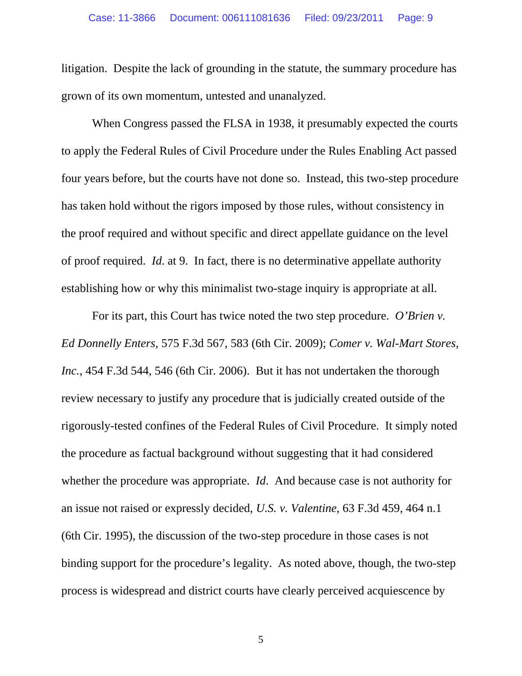litigation. Despite the lack of grounding in the statute, the summary procedure has grown of its own momentum, untested and unanalyzed.

When Congress passed the FLSA in 1938, it presumably expected the courts to apply the Federal Rules of Civil Procedure under the Rules Enabling Act passed four years before, but the courts have not done so. Instead, this two-step procedure has taken hold without the rigors imposed by those rules, without consistency in the proof required and without specific and direct appellate guidance on the level of proof required. *Id*. at 9. In fact, there is no determinative appellate authority establishing how or why this minimalist two-stage inquiry is appropriate at all.

For its part, this Court has twice noted the two step procedure. *O'Brien v. Ed Donnelly Enters*, 575 F.3d 567, 583 (6th Cir. 2009); *Comer v. Wal-Mart Stores, Inc.*, 454 F.3d 544, 546 (6th Cir. 2006). But it has not undertaken the thorough review necessary to justify any procedure that is judicially created outside of the rigorously-tested confines of the Federal Rules of Civil Procedure. It simply noted the procedure as factual background without suggesting that it had considered whether the procedure was appropriate. *Id*. And because case is not authority for an issue not raised or expressly decided, *U.S. v. Valentine*, 63 F.3d 459, 464 n.1 (6th Cir. 1995), the discussion of the two-step procedure in those cases is not binding support for the procedure's legality. As noted above, though, the two-step process is widespread and district courts have clearly perceived acquiescence by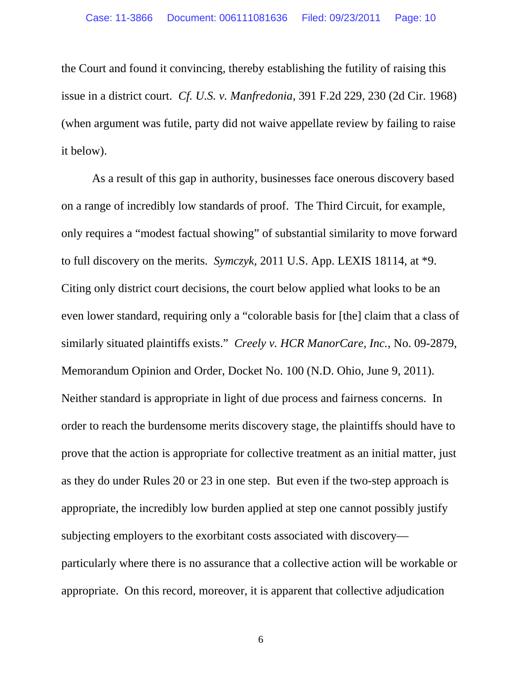the Court and found it convincing, thereby establishing the futility of raising this issue in a district court. *Cf. U.S. v. Manfredonia*, 391 F.2d 229, 230 (2d Cir. 1968) (when argument was futile, party did not waive appellate review by failing to raise it below).

As a result of this gap in authority, businesses face onerous discovery based on a range of incredibly low standards of proof. The Third Circuit, for example, only requires a "modest factual showing" of substantial similarity to move forward to full discovery on the merits. *Symczyk,* 2011 U.S. App. LEXIS 18114, at \*9. Citing only district court decisions, the court below applied what looks to be an even lower standard, requiring only a "colorable basis for [the] claim that a class of similarly situated plaintiffs exists." *Creely v. HCR ManorCare, Inc.*, No. 09-2879, Memorandum Opinion and Order, Docket No. 100 (N.D. Ohio, June 9, 2011). Neither standard is appropriate in light of due process and fairness concerns. In order to reach the burdensome merits discovery stage, the plaintiffs should have to prove that the action is appropriate for collective treatment as an initial matter, just as they do under Rules 20 or 23 in one step. But even if the two-step approach is appropriate, the incredibly low burden applied at step one cannot possibly justify subjecting employers to the exorbitant costs associated with discovery particularly where there is no assurance that a collective action will be workable or appropriate. On this record, moreover, it is apparent that collective adjudication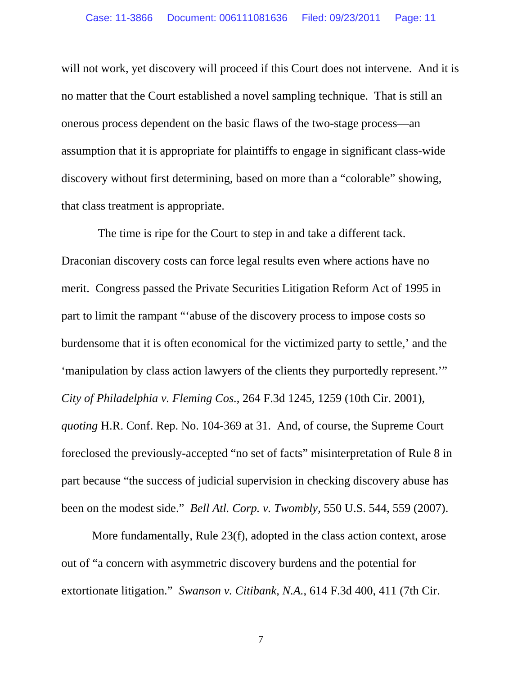will not work, yet discovery will proceed if this Court does not intervene. And it is no matter that the Court established a novel sampling technique. That is still an onerous process dependent on the basic flaws of the two-stage process—an assumption that it is appropriate for plaintiffs to engage in significant class-wide discovery without first determining, based on more than a "colorable" showing, that class treatment is appropriate.

 The time is ripe for the Court to step in and take a different tack. Draconian discovery costs can force legal results even where actions have no merit. Congress passed the Private Securities Litigation Reform Act of 1995 in part to limit the rampant "'abuse of the discovery process to impose costs so burdensome that it is often economical for the victimized party to settle,' and the 'manipulation by class action lawyers of the clients they purportedly represent.'" *City of Philadelphia v. Fleming Cos.*, 264 F.3d 1245, 1259 (10th Cir. 2001), *quoting* H.R. Conf. Rep. No. 104-369 at 31. And, of course, the Supreme Court foreclosed the previously-accepted "no set of facts" misinterpretation of Rule 8 in part because "the success of judicial supervision in checking discovery abuse has been on the modest side." *Bell Atl. Corp. v. Twombly*, 550 U.S. 544, 559 (2007).

More fundamentally, Rule 23(f), adopted in the class action context, arose out of "a concern with asymmetric discovery burdens and the potential for extortionate litigation." *Swanson v. Citibank, N.A.*, 614 F.3d 400, 411 (7th Cir.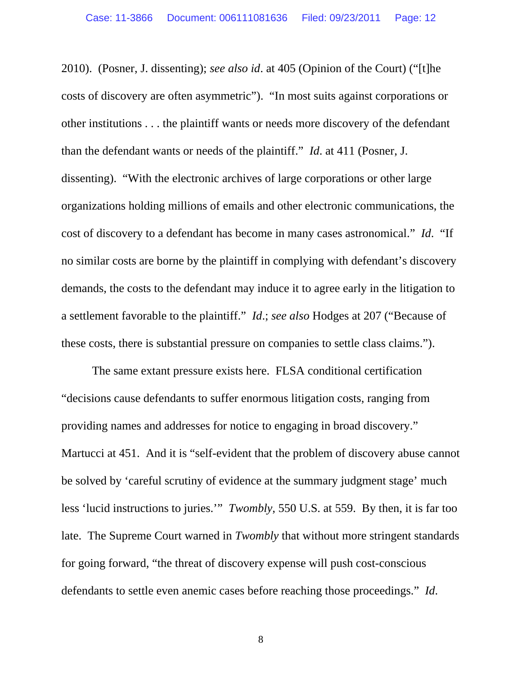2010). (Posner, J. dissenting); *see also id*. at 405 (Opinion of the Court) ("[t]he costs of discovery are often asymmetric"). "In most suits against corporations or other institutions . . . the plaintiff wants or needs more discovery of the defendant than the defendant wants or needs of the plaintiff." *Id*. at 411 (Posner, J. dissenting). "With the electronic archives of large corporations or other large organizations holding millions of emails and other electronic communications, the cost of discovery to a defendant has become in many cases astronomical." *Id*. "If no similar costs are borne by the plaintiff in complying with defendant's discovery demands, the costs to the defendant may induce it to agree early in the litigation to a settlement favorable to the plaintiff." *Id*.; *see also* Hodges at 207 ("Because of these costs, there is substantial pressure on companies to settle class claims.").

The same extant pressure exists here. FLSA conditional certification "decisions cause defendants to suffer enormous litigation costs, ranging from providing names and addresses for notice to engaging in broad discovery." Martucci at 451. And it is "self-evident that the problem of discovery abuse cannot be solved by 'careful scrutiny of evidence at the summary judgment stage' much less 'lucid instructions to juries.'" *Twombly*, 550 U.S. at 559. By then, it is far too late. The Supreme Court warned in *Twombly* that without more stringent standards for going forward, "the threat of discovery expense will push cost-conscious defendants to settle even anemic cases before reaching those proceedings." *Id*.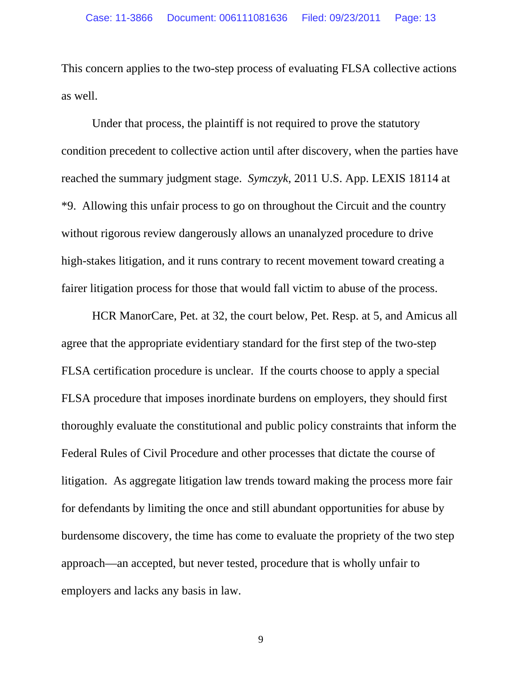This concern applies to the two-step process of evaluating FLSA collective actions as well.

Under that process, the plaintiff is not required to prove the statutory condition precedent to collective action until after discovery, when the parties have reached the summary judgment stage. *Symczyk*, 2011 U.S. App. LEXIS 18114 at \*9. Allowing this unfair process to go on throughout the Circuit and the country without rigorous review dangerously allows an unanalyzed procedure to drive high-stakes litigation, and it runs contrary to recent movement toward creating a fairer litigation process for those that would fall victim to abuse of the process.

HCR ManorCare, Pet. at 32, the court below, Pet. Resp. at 5, and Amicus all agree that the appropriate evidentiary standard for the first step of the two-step FLSA certification procedure is unclear. If the courts choose to apply a special FLSA procedure that imposes inordinate burdens on employers, they should first thoroughly evaluate the constitutional and public policy constraints that inform the Federal Rules of Civil Procedure and other processes that dictate the course of litigation. As aggregate litigation law trends toward making the process more fair for defendants by limiting the once and still abundant opportunities for abuse by burdensome discovery, the time has come to evaluate the propriety of the two step approach—an accepted, but never tested, procedure that is wholly unfair to employers and lacks any basis in law.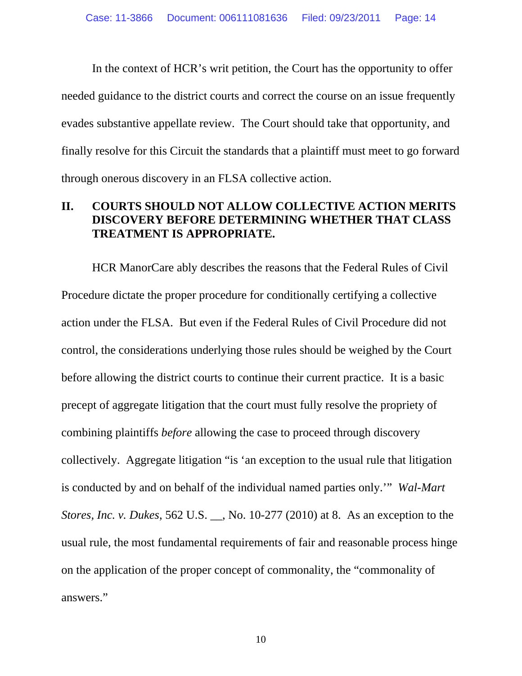In the context of HCR's writ petition, the Court has the opportunity to offer needed guidance to the district courts and correct the course on an issue frequently evades substantive appellate review. The Court should take that opportunity, and finally resolve for this Circuit the standards that a plaintiff must meet to go forward through onerous discovery in an FLSA collective action.

### **II. COURTS SHOULD NOT ALLOW COLLECTIVE ACTION MERITS DISCOVERY BEFORE DETERMINING WHETHER THAT CLASS TREATMENT IS APPROPRIATE.**

HCR ManorCare ably describes the reasons that the Federal Rules of Civil Procedure dictate the proper procedure for conditionally certifying a collective action under the FLSA. But even if the Federal Rules of Civil Procedure did not control, the considerations underlying those rules should be weighed by the Court before allowing the district courts to continue their current practice. It is a basic precept of aggregate litigation that the court must fully resolve the propriety of combining plaintiffs *before* allowing the case to proceed through discovery collectively. Aggregate litigation "is 'an exception to the usual rule that litigation is conducted by and on behalf of the individual named parties only.'" *Wal-Mart Stores, Inc. v. Dukes*, 562 U.S. \_\_, No. 10-277 (2010) at 8. As an exception to the usual rule, the most fundamental requirements of fair and reasonable process hinge on the application of the proper concept of commonality, the "commonality of answers."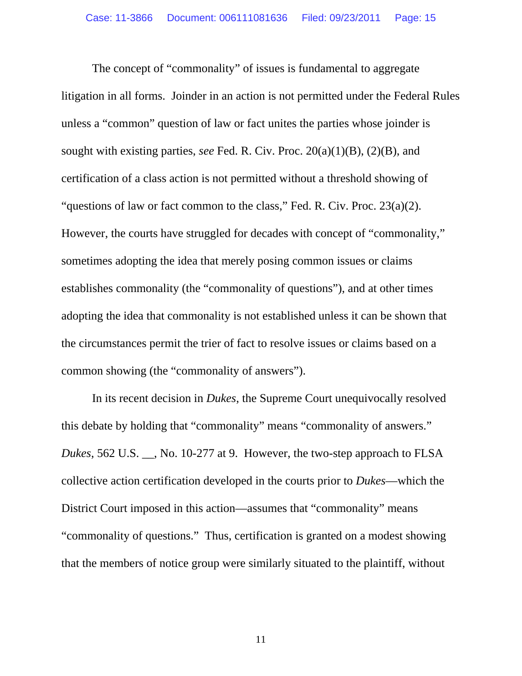The concept of "commonality" of issues is fundamental to aggregate litigation in all forms. Joinder in an action is not permitted under the Federal Rules unless a "common" question of law or fact unites the parties whose joinder is sought with existing parties, *see* Fed. R. Civ. Proc. 20(a)(1)(B), (2)(B), and certification of a class action is not permitted without a threshold showing of "questions of law or fact common to the class," Fed. R. Civ. Proc.  $23(a)(2)$ . However, the courts have struggled for decades with concept of "commonality," sometimes adopting the idea that merely posing common issues or claims establishes commonality (the "commonality of questions"), and at other times adopting the idea that commonality is not established unless it can be shown that the circumstances permit the trier of fact to resolve issues or claims based on a common showing (the "commonality of answers").

In its recent decision in *Dukes*, the Supreme Court unequivocally resolved this debate by holding that "commonality" means "commonality of answers." *Dukes*, 562 U.S. \_\_, No. 10-277 at 9. However, the two-step approach to FLSA collective action certification developed in the courts prior to *Dukes*—which the District Court imposed in this action—assumes that "commonality" means "commonality of questions." Thus, certification is granted on a modest showing that the members of notice group were similarly situated to the plaintiff, without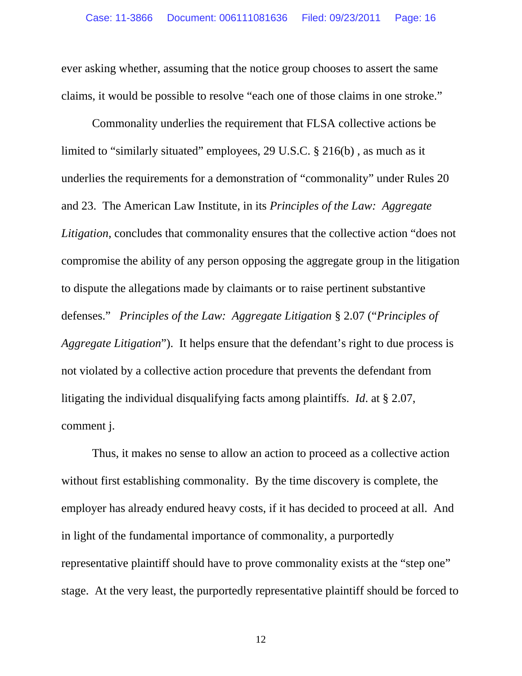ever asking whether, assuming that the notice group chooses to assert the same claims, it would be possible to resolve "each one of those claims in one stroke."

Commonality underlies the requirement that FLSA collective actions be limited to "similarly situated" employees, 29 U.S.C. § 216(b) , as much as it underlies the requirements for a demonstration of "commonality" under Rules 20 and 23. The American Law Institute, in its *Principles of the Law: Aggregate Litigation*, concludes that commonality ensures that the collective action "does not compromise the ability of any person opposing the aggregate group in the litigation to dispute the allegations made by claimants or to raise pertinent substantive defenses." *Principles of the Law: Aggregate Litigation* § 2.07 ("*Principles of Aggregate Litigation*"). It helps ensure that the defendant's right to due process is not violated by a collective action procedure that prevents the defendant from litigating the individual disqualifying facts among plaintiffs. *Id*. at § 2.07, comment j.

Thus, it makes no sense to allow an action to proceed as a collective action without first establishing commonality. By the time discovery is complete, the employer has already endured heavy costs, if it has decided to proceed at all. And in light of the fundamental importance of commonality, a purportedly representative plaintiff should have to prove commonality exists at the "step one" stage. At the very least, the purportedly representative plaintiff should be forced to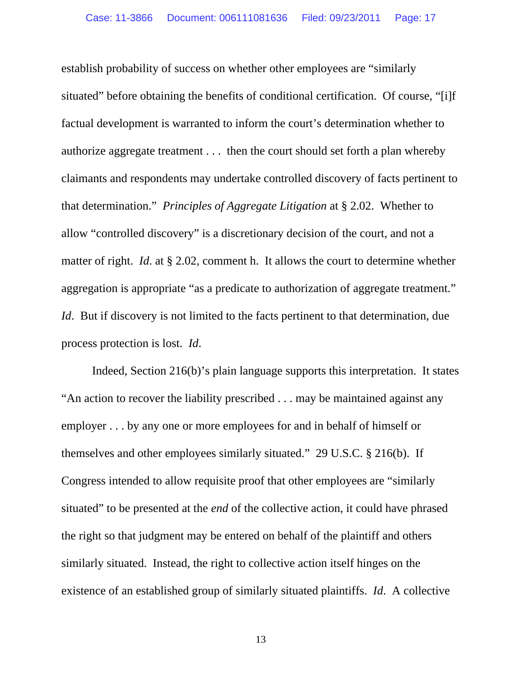establish probability of success on whether other employees are "similarly situated" before obtaining the benefits of conditional certification. Of course, "[i]f factual development is warranted to inform the court's determination whether to authorize aggregate treatment . . . then the court should set forth a plan whereby claimants and respondents may undertake controlled discovery of facts pertinent to that determination." *Principles of Aggregate Litigation* at § 2.02. Whether to allow "controlled discovery" is a discretionary decision of the court, and not a matter of right. *Id*. at § 2.02, comment h. It allows the court to determine whether aggregation is appropriate "as a predicate to authorization of aggregate treatment." *Id.* But if discovery is not limited to the facts pertinent to that determination, due process protection is lost. *Id*.

Indeed, Section 216(b)'s plain language supports this interpretation. It states "An action to recover the liability prescribed . . . may be maintained against any employer . . . by any one or more employees for and in behalf of himself or themselves and other employees similarly situated." 29 U.S.C. § 216(b). If Congress intended to allow requisite proof that other employees are "similarly situated" to be presented at the *end* of the collective action, it could have phrased the right so that judgment may be entered on behalf of the plaintiff and others similarly situated. Instead, the right to collective action itself hinges on the existence of an established group of similarly situated plaintiffs. *Id*. A collective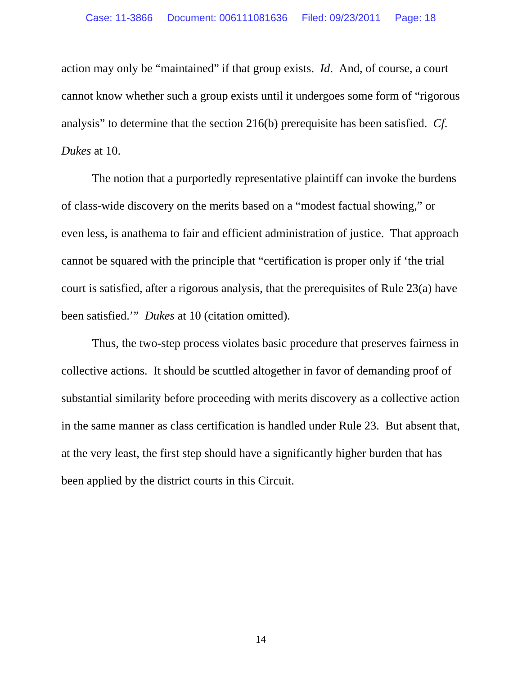action may only be "maintained" if that group exists. *Id*. And, of course, a court cannot know whether such a group exists until it undergoes some form of "rigorous analysis" to determine that the section 216(b) prerequisite has been satisfied. *Cf*. *Dukes* at 10.

The notion that a purportedly representative plaintiff can invoke the burdens of class-wide discovery on the merits based on a "modest factual showing," or even less, is anathema to fair and efficient administration of justice. That approach cannot be squared with the principle that "certification is proper only if 'the trial court is satisfied, after a rigorous analysis, that the prerequisites of Rule 23(a) have been satisfied.'" *Dukes* at 10 (citation omitted).

Thus, the two-step process violates basic procedure that preserves fairness in collective actions. It should be scuttled altogether in favor of demanding proof of substantial similarity before proceeding with merits discovery as a collective action in the same manner as class certification is handled under Rule 23. But absent that, at the very least, the first step should have a significantly higher burden that has been applied by the district courts in this Circuit.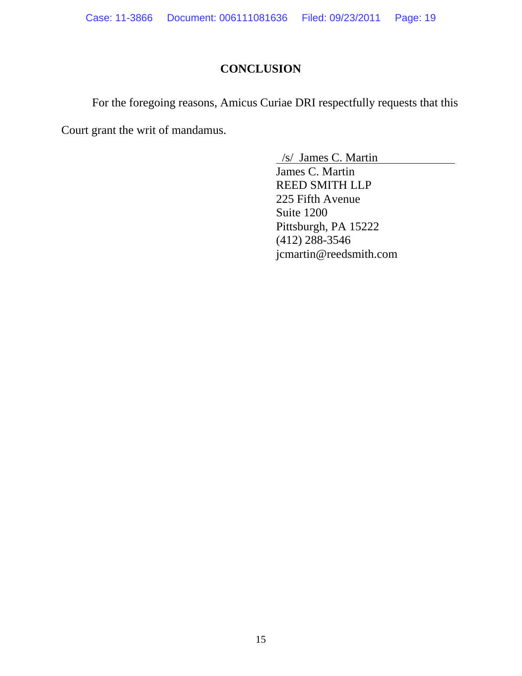## **CONCLUSION**

For the foregoing reasons, Amicus Curiae DRI respectfully requests that this Court grant the writ of mandamus.

> /s/ James C. Martin James C. Martin REED SMITH LLP 225 Fifth Avenue Suite 1200 Pittsburgh, PA 15222 (412) 288-3546 jcmartin@reedsmith.com